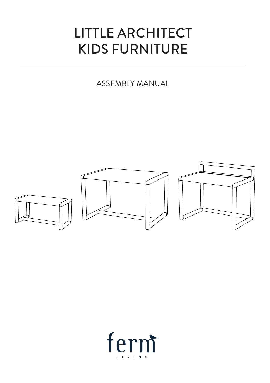### LITTLE ARCHITECT KIDS FURNITURE

ASSEMBLY MANUAL



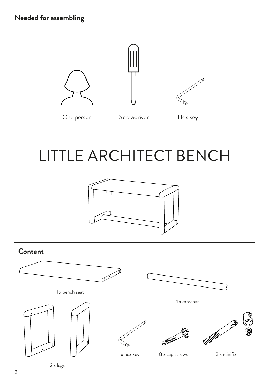

# LITTLE ARCHITECT BENCH



### **Content**

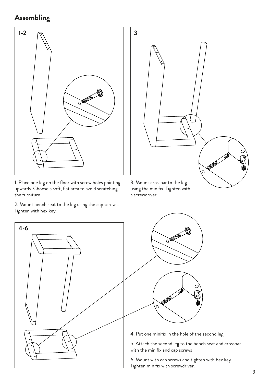#### **Assembling**



1. Place one leg on the floor with screw holes pointing upwards. Choose a soft, flat area to avoid scratching the furniture

2. Mount bench seat to the leg using the cap screws. Tighten with hex key.



a screwdriver.





6. Mount with cap screws and tighten with hex key.

Tighten minifix with screwdriver.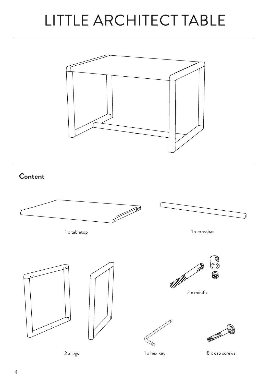## LITTLE ARCHITECT TABLE



**Content**

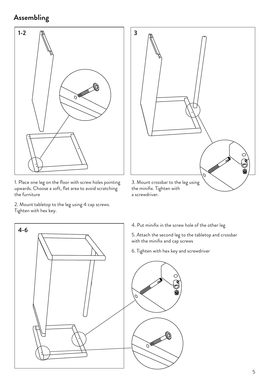#### **Assembling**



1. Place one leg on the floor with screw holes pointing upwards. Choose a soft, flat area to avoid scratching the furniture

2. Mount tabletop to the leg using 4 cap screws. Tighten with hex key.

**4-6**



4. Put minifix in the screw hole of the other leg

5. Attach the second leg to the tabletop and crossbar with the minifix and cap screws

6. Tighten with hex key and screwdriver

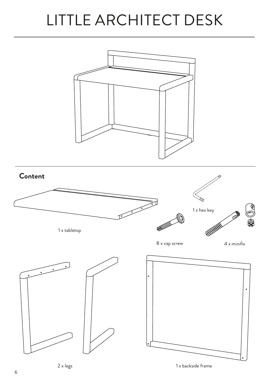## LITTLE ARCHITECT DESK



6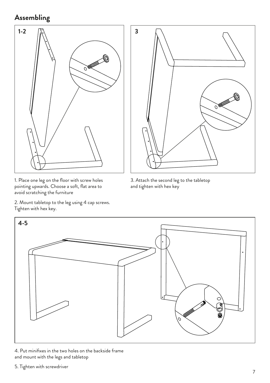### **Assembling**



1. Place one leg on the floor with screw holes pointing upwards. Choose a soft, flat area to avoid scratching the furniture

2. Mount tabletop to the leg using 4 cap screws. Tighten with hex key.



3. Attach the second leg to the tabletop and tighten with hex key



4. Put minifixes in the two holes on the backside frame and mount with the legs and tabletop